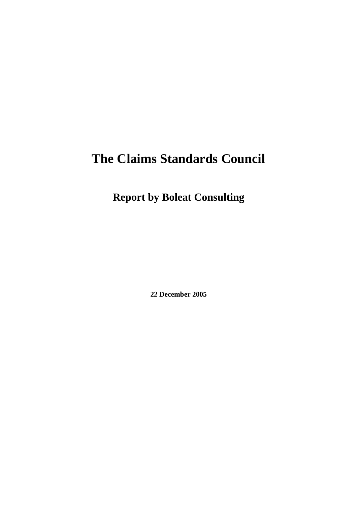# **The Claims Standards Council**

**Report by Boleat Consulting** 

**22 December 2005**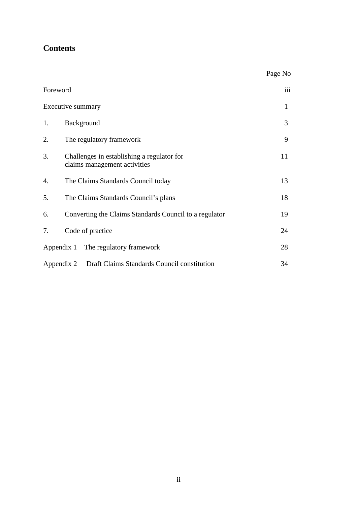### **Contents**

|                   |                                                                            | Page No |
|-------------------|----------------------------------------------------------------------------|---------|
| Foreword          |                                                                            |         |
| Executive summary |                                                                            |         |
| 1.                | Background                                                                 | 3       |
| 2.                | The regulatory framework                                                   | 9       |
| 3.                | Challenges in establishing a regulator for<br>claims management activities | 11      |
| 4.                | The Claims Standards Council today                                         | 13      |
| 5.                | The Claims Standards Council's plans                                       | 18      |
| 6.                | Converting the Claims Standards Council to a regulator                     | 19      |
| 7.                | Code of practice                                                           | 24      |
|                   | Appendix 1 The regulatory framework                                        | 28      |
|                   | Draft Claims Standards Council constitution<br>Appendix 2                  | 34      |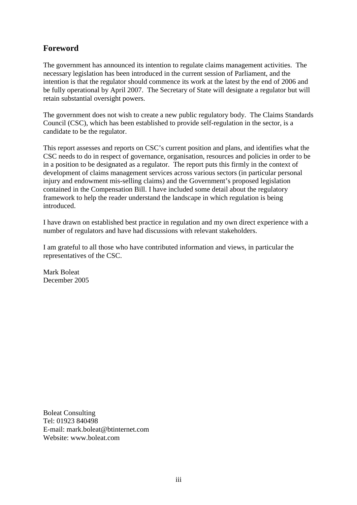### **Foreword**

The government has announced its intention to regulate claims management activities. The necessary legislation has been introduced in the current session of Parliament, and the intention is that the regulator should commence its work at the latest by the end of 2006 and be fully operational by April 2007. The Secretary of State will designate a regulator but will retain substantial oversight powers.

The government does not wish to create a new public regulatory body. The Claims Standards Council (CSC), which has been established to provide self-regulation in the sector, is a candidate to be the regulator.

This report assesses and reports on CSC's current position and plans, and identifies what the CSC needs to do in respect of governance, organisation, resources and policies in order to be in a position to be designated as a regulator. The report puts this firmly in the context of development of claims management services across various sectors (in particular personal injury and endowment mis-selling claims) and the Government's proposed legislation contained in the Compensation Bill. I have included some detail about the regulatory framework to help the reader understand the landscape in which regulation is being introduced.

I have drawn on established best practice in regulation and my own direct experience with a number of regulators and have had discussions with relevant stakeholders.

I am grateful to all those who have contributed information and views, in particular the representatives of the CSC.

Mark Boleat December 2005

Boleat Consulting Tel: 01923 840498 E-mail: mark.boleat@btinternet.com Website: www.boleat.com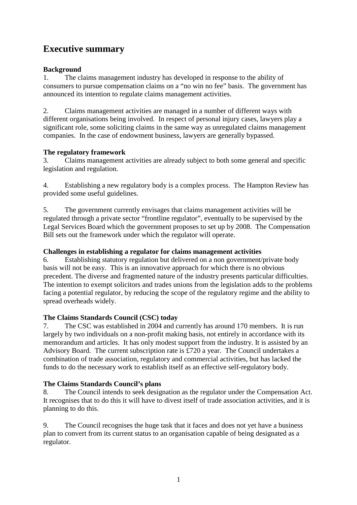### **Executive summary**

#### **Background**

1. The claims management industry has developed in response to the ability of consumers to pursue compensation claims on a "no win no fee" basis. The government has announced its intention to regulate claims management activities.

2. Claims management activities are managed in a number of different ways with different organisations being involved. In respect of personal injury cases, lawyers play a significant role, some soliciting claims in the same way as unregulated claims management companies. In the case of endowment business, lawyers are generally bypassed.

#### **The regulatory framework**

3. Claims management activities are already subject to both some general and specific legislation and regulation.

4. Establishing a new regulatory body is a complex process. The Hampton Review has provided some useful guidelines.

5. The government currently envisages that claims management activities will be regulated through a private sector "frontline regulator", eventually to be supervised by the Legal Services Board which the government proposes to set up by 2008. The Compensation Bill sets out the framework under which the regulator will operate.

#### **Challenges in establishing a regulator for claims management activities**

6. Establishing statutory regulation but delivered on a non government/private body basis will not be easy. This is an innovative approach for which there is no obvious precedent. The diverse and fragmented nature of the industry presents particular difficulties. The intention to exempt solicitors and trades unions from the legislation adds to the problems facing a potential regulator, by reducing the scope of the regulatory regime and the ability to spread overheads widely.

#### **The Claims Standards Council (CSC) today**

7. The CSC was established in 2004 and currently has around 170 members. It is run largely by two individuals on a non-profit making basis, not entirely in accordance with its memorandum and articles. It has only modest support from the industry. It is assisted by an Advisory Board. The current subscription rate is £720 a year. The Council undertakes a combination of trade association, regulatory and commercial activities, but has lacked the funds to do the necessary work to establish itself as an effective self-regulatory body.

#### **The Claims Standards Council's plans**

8. The Council intends to seek designation as the regulator under the Compensation Act. It recognises that to do this it will have to divest itself of trade association activities, and it is planning to do this.

9. The Council recognises the huge task that it faces and does not yet have a business plan to convert from its current status to an organisation capable of being designated as a regulator.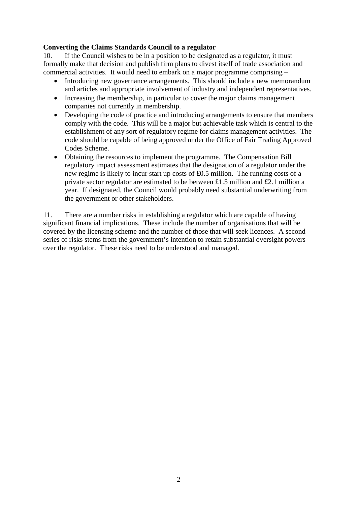#### **Converting the Claims Standards Council to a regulator**

10. If the Council wishes to be in a position to be designated as a regulator, it must formally make that decision and publish firm plans to divest itself of trade association and commercial activities. It would need to embark on a major programme comprising –

- Introducing new governance arrangements. This should include a new memorandum and articles and appropriate involvement of industry and independent representatives.
- Increasing the membership, in particular to cover the major claims management companies not currently in membership.
- Developing the code of practice and introducing arrangements to ensure that members comply with the code. This will be a major but achievable task which is central to the establishment of any sort of regulatory regime for claims management activities. The code should be capable of being approved under the Office of Fair Trading Approved Codes Scheme.
- Obtaining the resources to implement the programme. The Compensation Bill regulatory impact assessment estimates that the designation of a regulator under the new regime is likely to incur start up costs of £0.5 million. The running costs of a private sector regulator are estimated to be between £1.5 million and £2.1 million a year. If designated, the Council would probably need substantial underwriting from the government or other stakeholders.

11. There are a number risks in establishing a regulator which are capable of having significant financial implications. These include the number of organisations that will be covered by the licensing scheme and the number of those that will seek licences. A second series of risks stems from the government's intention to retain substantial oversight powers over the regulator. These risks need to be understood and managed.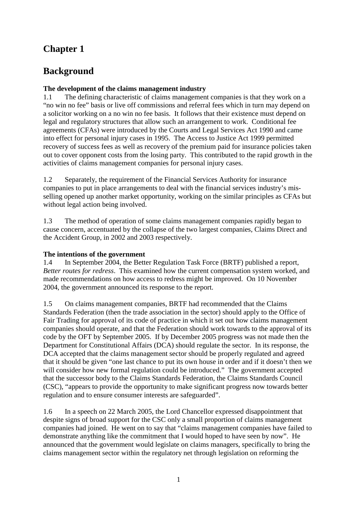### **Chapter 1**

### **Background**

#### **The development of the claims management industry**

1.1 The defining characteristic of claims management companies is that they work on a "no win no fee" basis or live off commissions and referral fees which in turn may depend on a solicitor working on a no win no fee basis. It follows that their existence must depend on legal and regulatory structures that allow such an arrangement to work. Conditional fee agreements (CFAs) were introduced by the Courts and Legal Services Act 1990 and came into effect for personal injury cases in 1995. The Access to Justice Act 1999 permitted recovery of success fees as well as recovery of the premium paid for insurance policies taken out to cover opponent costs from the losing party. This contributed to the rapid growth in the activities of claims management companies for personal injury cases.

1.2 Separately, the requirement of the Financial Services Authority for insurance companies to put in place arrangements to deal with the financial services industry's misselling opened up another market opportunity, working on the similar principles as CFAs but without legal action being involved.

1.3 The method of operation of some claims management companies rapidly began to cause concern, accentuated by the collapse of the two largest companies, Claims Direct and the Accident Group, in 2002 and 2003 respectively.

#### **The intentions of the government**

1.4 In September 2004, the Better Regulation Task Force (BRTF) published a report, *Better routes for redress*. This examined how the current compensation system worked, and made recommendations on how access to redress might be improved. On 10 November 2004, the government announced its response to the report.

1.5 On claims management companies, BRTF had recommended that the Claims Standards Federation (then the trade association in the sector) should apply to the Office of Fair Trading for approval of its code of practice in which it set out how claims management companies should operate, and that the Federation should work towards to the approval of its code by the OFT by September 2005. If by December 2005 progress was not made then the Department for Constitutional Affairs (DCA) should regulate the sector. In its response, the DCA accepted that the claims management sector should be properly regulated and agreed that it should be given "one last chance to put its own house in order and if it doesn't then we will consider how new formal regulation could be introduced." The government accepted that the successor body to the Claims Standards Federation, the Claims Standards Council (CSC), "appears to provide the opportunity to make significant progress now towards better regulation and to ensure consumer interests are safeguarded".

1.6 In a speech on 22 March 2005, the Lord Chancellor expressed disappointment that despite signs of broad support for the CSC only a small proportion of claims management companies had joined. He went on to say that "claims management companies have failed to demonstrate anything like the commitment that I would hoped to have seen by now". He announced that the government would legislate on claims managers, specifically to bring the claims management sector within the regulatory net through legislation on reforming the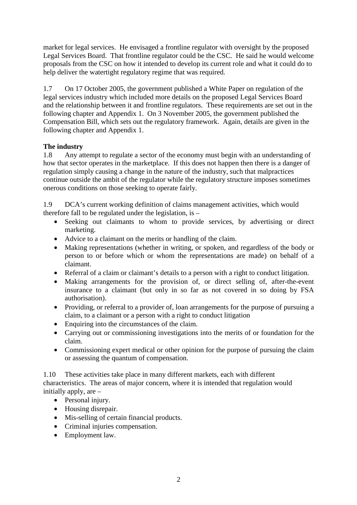market for legal services. He envisaged a frontline regulator with oversight by the proposed Legal Services Board. That frontline regulator could be the CSC. He said he would welcome proposals from the CSC on how it intended to develop its current role and what it could do to help deliver the watertight regulatory regime that was required.

1.7 On 17 October 2005, the government published a White Paper on regulation of the legal services industry which included more details on the proposed Legal Services Board and the relationship between it and frontline regulators. These requirements are set out in the following chapter and Appendix 1. On 3 November 2005, the government published the Compensation Bill, which sets out the regulatory framework. Again, details are given in the following chapter and Appendix 1.

#### **The industry**

1.8 Any attempt to regulate a sector of the economy must begin with an understanding of how that sector operates in the marketplace. If this does not happen then there is a danger of regulation simply causing a change in the nature of the industry, such that malpractices continue outside the ambit of the regulator while the regulatory structure imposes sometimes onerous conditions on those seeking to operate fairly.

1.9 DCA's current working definition of claims management activities, which would therefore fall to be regulated under the legislation, is –

- Seeking out claimants to whom to provide services, by advertising or direct marketing.
- Advice to a claimant on the merits or handling of the claim.
- Making representations (whether in writing, or spoken, and regardless of the body or person to or before which or whom the representations are made) on behalf of a claimant.
- Referral of a claim or claimant's details to a person with a right to conduct litigation.
- Making arrangements for the provision of, or direct selling of, after-the-event insurance to a claimant (but only in so far as not covered in so doing by FSA authorisation).
- Providing, or referral to a provider of, loan arrangements for the purpose of pursuing a claim, to a claimant or a person with a right to conduct litigation
- Enquiring into the circumstances of the claim.
- Carrying out or commissioning investigations into the merits of or foundation for the claim.
- Commissioning expert medical or other opinion for the purpose of pursuing the claim or assessing the quantum of compensation.

1.10 These activities take place in many different markets, each with different characteristics. The areas of major concern, where it is intended that regulation would initially apply, are –

- Personal injury.
- Housing disrepair.
- Mis-selling of certain financial products.
- Criminal injuries compensation.
- Employment law.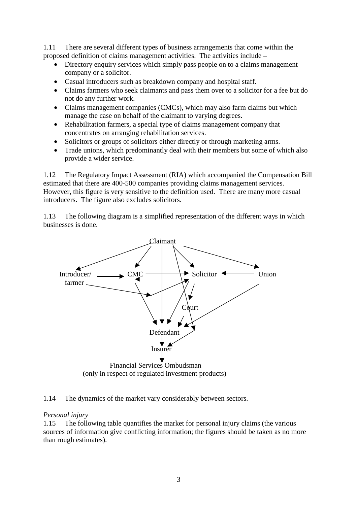1.11 There are several different types of business arrangements that come within the proposed definition of claims management activities. The activities include –

- Directory enquiry services which simply pass people on to a claims management company or a solicitor.
- Casual introducers such as breakdown company and hospital staff.
- Claims farmers who seek claimants and pass them over to a solicitor for a fee but do not do any further work.
- Claims management companies (CMCs), which may also farm claims but which manage the case on behalf of the claimant to varying degrees.
- Rehabilitation farmers, a special type of claims management company that concentrates on arranging rehabilitation services.
- Solicitors or groups of solicitors either directly or through marketing arms.
- Trade unions, which predominantly deal with their members but some of which also provide a wider service.

1.12 The Regulatory Impact Assessment (RIA) which accompanied the Compensation Bill estimated that there are 400-500 companies providing claims management services. However, this figure is very sensitive to the definition used. There are many more casual introducers. The figure also excludes solicitors.

1.13 The following diagram is a simplified representation of the different ways in which businesses is done.



#### 1.14 The dynamics of the market vary considerably between sectors.

#### *Personal injury*

1.15 The following table quantifies the market for personal injury claims (the various sources of information give conflicting information; the figures should be taken as no more than rough estimates).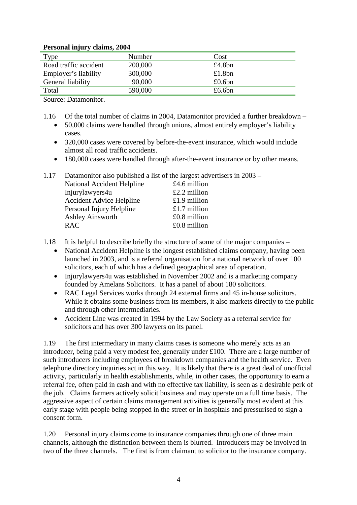#### **Personal injury claims, 2004**

| $\cdot$ $\cdot$       |         |           |
|-----------------------|---------|-----------|
| Type                  | Number  | Cost      |
| Road traffic accident | 200,000 | £4.8bn    |
| Employer's liability  | 300,000 | £1.8bn    |
| General liability     | 90,000  | £0.6bn    |
| Total                 | 590,000 | £6.6 $bn$ |

Source: Datamonitor.

- 1.16 Of the total number of claims in 2004, Datamonitor provided a further breakdown • 50,000 claims were handled through unions, almost entirely employer's liability cases.
	- 320,000 cases were covered by before-the-event insurance, which would include almost all road traffic accidents.
	- 180,000 cases were handled through after-the-event insurance or by other means.

| 1.17 | Datamonitor also published a list of the largest advertisers in 2003 – |                |  |
|------|------------------------------------------------------------------------|----------------|--|
|      | National Accident Helpline                                             | £4.6 million   |  |
|      | Injurylawyers4u                                                        | £2.2 million   |  |
|      | <b>Accident Advice Helpline</b>                                        | £1.9 million   |  |
|      | Personal Injury Helpline                                               | £1.7 million   |  |
|      | <b>Ashley Ainsworth</b>                                                | $£0.8$ million |  |
|      | <b>RAC</b>                                                             | $£0.8$ million |  |
|      |                                                                        |                |  |

- 1.18 It is helpful to describe briefly the structure of some of the major companies
	- National Accident Helpline is the longest established claims company, having been launched in 2003, and is a referral organisation for a national network of over 100 solicitors, each of which has a defined geographical area of operation.
	- Injurylawyers4u was established in November 2002 and is a marketing company founded by Amelans Solicitors. It has a panel of about 180 solicitors.
	- RAC Legal Services works through 24 external firms and 45 in-house solicitors. While it obtains some business from its members, it also markets directly to the public and through other intermediaries.
	- Accident Line was created in 1994 by the Law Society as a referral service for solicitors and has over 300 lawyers on its panel.

1.19 The first intermediary in many claims cases is someone who merely acts as an introducer, being paid a very modest fee, generally under £100. There are a large number of such introducers including employees of breakdown companies and the health service. Even telephone directory inquiries act in this way. It is likely that there is a great deal of unofficial activity, particularly in health establishments, while, in other cases, the opportunity to earn a referral fee, often paid in cash and with no effective tax liability, is seen as a desirable perk of the job. Claims farmers actively solicit business and may operate on a full time basis. The aggressive aspect of certain claims management activities is generally most evident at this early stage with people being stopped in the street or in hospitals and pressurised to sign a consent form.

1.20 Personal injury claims come to insurance companies through one of three main channels, although the distinction between them is blurred. Introducers may be involved in two of the three channels. The first is from claimant to solicitor to the insurance company.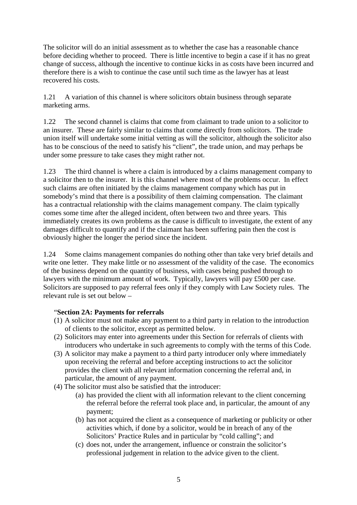The solicitor will do an initial assessment as to whether the case has a reasonable chance before deciding whether to proceed. There is little incentive to begin a case if it has no great change of success, although the incentive to continue kicks in as costs have been incurred and therefore there is a wish to continue the case until such time as the lawyer has at least recovered his costs.

1.21 A variation of this channel is where solicitors obtain business through separate marketing arms.

1.22 The second channel is claims that come from claimant to trade union to a solicitor to an insurer. These are fairly similar to claims that come directly from solicitors. The trade union itself will undertake some initial vetting as will the solicitor, although the solicitor also has to be conscious of the need to satisfy his "client", the trade union, and may perhaps be under some pressure to take cases they might rather not.

1.23 The third channel is where a claim is introduced by a claims management company to a solicitor then to the insurer. It is this channel where most of the problems occur. In effect such claims are often initiated by the claims management company which has put in somebody's mind that there is a possibility of them claiming compensation. The claimant has a contractual relationship with the claims management company. The claim typically comes some time after the alleged incident, often between two and three years. This immediately creates its own problems as the cause is difficult to investigate, the extent of any damages difficult to quantify and if the claimant has been suffering pain then the cost is obviously higher the longer the period since the incident.

1.24 Some claims management companies do nothing other than take very brief details and write one letter. They make little or no assessment of the validity of the case. The economics of the business depend on the quantity of business, with cases being pushed through to lawyers with the minimum amount of work. Typically, lawyers will pay £500 per case. Solicitors are supposed to pay referral fees only if they comply with Law Society rules. The relevant rule is set out below –

#### "**Section 2A: Payments for referrals**

- (1) A solicitor must not make any payment to a third party in relation to the introduction of clients to the solicitor, except as permitted below.
- (2) Solicitors may enter into agreements under this Section for referrals of clients with introducers who undertake in such agreements to comply with the terms of this Code.
- (3) A solicitor may make a payment to a third party introducer only where immediately upon receiving the referral and before accepting instructions to act the solicitor provides the client with all relevant information concerning the referral and, in particular, the amount of any payment.
- (4) The solicitor must also be satisfied that the introducer:
	- (a) has provided the client with all information relevant to the client concerning the referral before the referral took place and, in particular, the amount of any payment;
	- (b) has not acquired the client as a consequence of marketing or publicity or other activities which, if done by a solicitor, would be in breach of any of the Solicitors' Practice Rules and in particular by "cold calling"; and
	- (c) does not, under the arrangement, influence or constrain the solicitor's professional judgement in relation to the advice given to the client.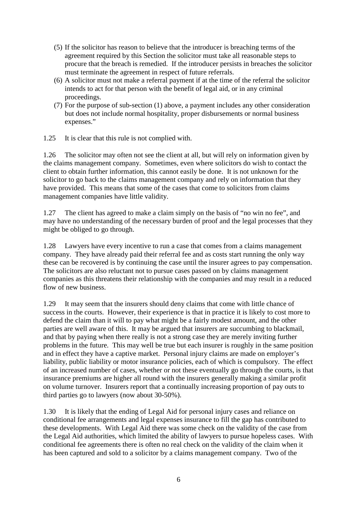- (5) If the solicitor has reason to believe that the introducer is breaching terms of the agreement required by this Section the solicitor must take all reasonable steps to procure that the breach is remedied. If the introducer persists in breaches the solicitor must terminate the agreement in respect of future referrals.
- (6) A solicitor must not make a referral payment if at the time of the referral the solicitor intends to act for that person with the benefit of legal aid, or in any criminal proceedings.
- (7) For the purpose of sub-section (1) above, a payment includes any other consideration but does not include normal hospitality, proper disbursements or normal business expenses."
- 1.25 It is clear that this rule is not complied with.

1.26 The solicitor may often not see the client at all, but will rely on information given by the claims management company. Sometimes, even where solicitors do wish to contact the client to obtain further information, this cannot easily be done. It is not unknown for the solicitor to go back to the claims management company and rely on information that they have provided. This means that some of the cases that come to solicitors from claims management companies have little validity.

1.27 The client has agreed to make a claim simply on the basis of "no win no fee", and may have no understanding of the necessary burden of proof and the legal processes that they might be obliged to go through.

1.28 Lawyers have every incentive to run a case that comes from a claims management company. They have already paid their referral fee and as costs start running the only way these can be recovered is by continuing the case until the insurer agrees to pay compensation. The solicitors are also reluctant not to pursue cases passed on by claims management companies as this threatens their relationship with the companies and may result in a reduced flow of new business.

1.29 It may seem that the insurers should deny claims that come with little chance of success in the courts. However, their experience is that in practice it is likely to cost more to defend the claim than it will to pay what might be a fairly modest amount, and the other parties are well aware of this. It may be argued that insurers are succumbing to blackmail, and that by paying when there really is not a strong case they are merely inviting further problems in the future. This may well be true but each insurer is roughly in the same position and in effect they have a captive market. Personal injury claims are made on employer's liability, public liability or motor insurance policies, each of which is compulsory. The effect of an increased number of cases, whether or not these eventually go through the courts, is that insurance premiums are higher all round with the insurers generally making a similar profit on volume turnover. Insurers report that a continually increasing proportion of pay outs to third parties go to lawyers (now about 30-50%).

1.30 It is likely that the ending of Legal Aid for personal injury cases and reliance on conditional fee arrangements and legal expenses insurance to fill the gap has contributed to these developments. With Legal Aid there was some check on the validity of the case from the Legal Aid authorities, which limited the ability of lawyers to pursue hopeless cases. With conditional fee agreements there is often no real check on the validity of the claim when it has been captured and sold to a solicitor by a claims management company. Two of the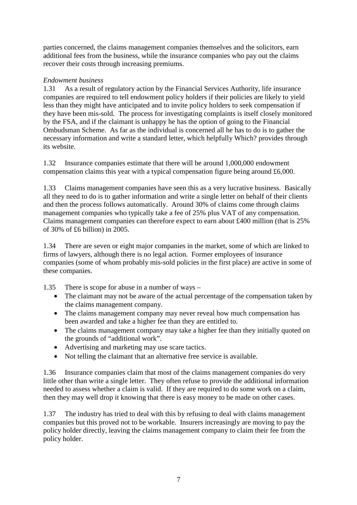parties concerned, the claims management companies themselves and the solicitors, earn additional fees from the business, while the insurance companies who pay out the claims recover their costs through increasing premiums.

#### *Endowment business*

1.31 As a result of regulatory action by the Financial Services Authority, life insurance companies are required to tell endowment policy holders if their policies are likely to yield less than they might have anticipated and to invite policy holders to seek compensation if they have been mis-sold. The process for investigating complaints is itself closely monitored by the FSA, and if the claimant is unhappy he has the option of going to the Financial Ombudsman Scheme. As far as the individual is concerned all he has to do is to gather the necessary information and write a standard letter, which helpfully Which? provides through its website.

1.32 Insurance companies estimate that there will be around 1,000,000 endowment compensation claims this year with a typical compensation figure being around £6,000.

1.33 Claims management companies have seen this as a very lucrative business. Basically all they need to do is to gather information and write a single letter on behalf of their clients and then the process follows automatically. Around 30% of claims come through claims management companies who typically take a fee of 25% plus VAT of any compensation. Claims management companies can therefore expect to earn about £400 million (that is 25% of 30% of £6 billion) in 2005.

1.34 There are seven or eight major companies in the market, some of which are linked to firms of lawyers, although there is no legal action. Former employees of insurance companies (some of whom probably mis-sold policies in the first place) are active in some of these companies.

1.35 There is scope for abuse in a number of ways –

- The claimant may not be aware of the actual percentage of the compensation taken by the claims management company.
- The claims management company may never reveal how much compensation has been awarded and take a higher fee than they are entitled to.
- The claims management company may take a higher fee than they initially quoted on the grounds of "additional work".
- Advertising and marketing may use scare tactics.
- Not telling the claimant that an alternative free service is available.

1.36 Insurance companies claim that most of the claims management companies do very little other than write a single letter. They often refuse to provide the additional information needed to assess whether a claim is valid. If they are required to do some work on a claim, then they may well drop it knowing that there is easy money to be made on other cases.

1.37 The industry has tried to deal with this by refusing to deal with claims management companies but this proved not to be workable. Insurers increasingly are moving to pay the policy holder directly, leaving the claims management company to claim their fee from the policy holder.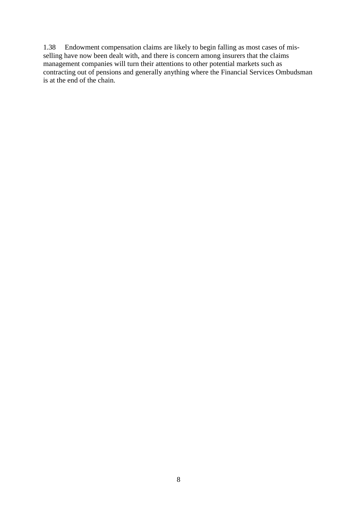1.38 Endowment compensation claims are likely to begin falling as most cases of misselling have now been dealt with, and there is concern among insurers that the claims management companies will turn their attentions to other potential markets such as contracting out of pensions and generally anything where the Financial Services Ombudsman is at the end of the chain.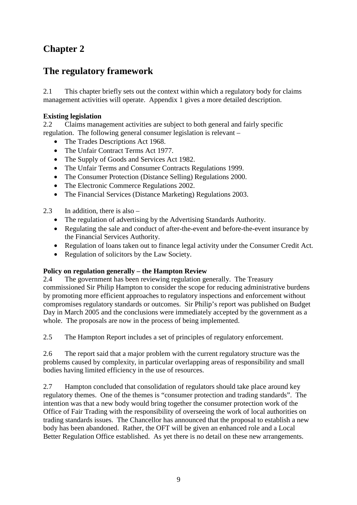### **Chapter 2**

### **The regulatory framework**

2.1 This chapter briefly sets out the context within which a regulatory body for claims management activities will operate. Appendix 1 gives a more detailed description.

#### **Existing legislation**

2.2 Claims management activities are subject to both general and fairly specific regulation. The following general consumer legislation is relevant –

- The Trades Descriptions Act 1968.
- The Unfair Contract Terms Act 1977.
- The Supply of Goods and Services Act 1982.
- The Unfair Terms and Consumer Contracts Regulations 1999.
- The Consumer Protection (Distance Selling) Regulations 2000.
- The Electronic Commerce Regulations 2002.
- The Financial Services (Distance Marketing) Regulations 2003.

2.3 In addition, there is also –

- The regulation of advertising by the Advertising Standards Authority.
- Regulating the sale and conduct of after-the-event and before-the-event insurance by the Financial Services Authority.
- Regulation of loans taken out to finance legal activity under the Consumer Credit Act.
- Regulation of solicitors by the Law Society.

#### **Policy on regulation generally – the Hampton Review**

2.4 The government has been reviewing regulation generally. The Treasury commissioned Sir Philip Hampton to consider the scope for reducing administrative burdens by promoting more efficient approaches to regulatory inspections and enforcement without compromises regulatory standards or outcomes. Sir Philip's report was published on Budget Day in March 2005 and the conclusions were immediately accepted by the government as a whole. The proposals are now in the process of being implemented.

2.5 The Hampton Report includes a set of principles of regulatory enforcement.

2.6 The report said that a major problem with the current regulatory structure was the problems caused by complexity, in particular overlapping areas of responsibility and small bodies having limited efficiency in the use of resources.

2.7 Hampton concluded that consolidation of regulators should take place around key regulatory themes. One of the themes is "consumer protection and trading standards". The intention was that a new body would bring together the consumer protection work of the Office of Fair Trading with the responsibility of overseeing the work of local authorities on trading standards issues. The Chancellor has announced that the proposal to establish a new body has been abandoned. Rather, the OFT will be given an enhanced role and a Local Better Regulation Office established. As yet there is no detail on these new arrangements.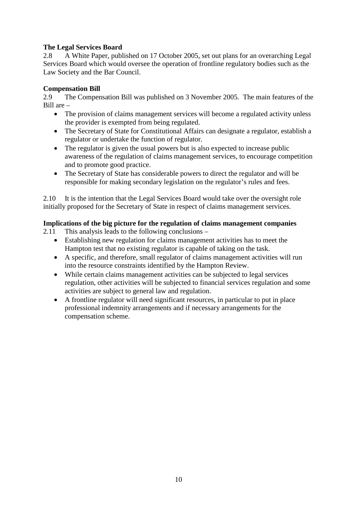#### **The Legal Services Board**

2.8 A White Paper, published on 17 October 2005, set out plans for an overarching Legal Services Board which would oversee the operation of frontline regulatory bodies such as the Law Society and the Bar Council.

#### **Compensation Bill**

2.9 The Compensation Bill was published on 3 November 2005. The main features of the Bill are –

- The provision of claims management services will become a regulated activity unless the provider is exempted from being regulated.
- The Secretary of State for Constitutional Affairs can designate a regulator, establish a regulator or undertake the function of regulator.
- The regulator is given the usual powers but is also expected to increase public awareness of the regulation of claims management services, to encourage competition and to promote good practice.
- The Secretary of State has considerable powers to direct the regulator and will be responsible for making secondary legislation on the regulator's rules and fees.

2.10 It is the intention that the Legal Services Board would take over the oversight role initially proposed for the Secretary of State in respect of claims management services.

#### **Implications of the big picture for the regulation of claims management companies**

2.11 This analysis leads to the following conclusions –

- Establishing new regulation for claims management activities has to meet the Hampton test that no existing regulator is capable of taking on the task.
- A specific, and therefore, small regulator of claims management activities will run into the resource constraints identified by the Hampton Review.
- While certain claims management activities can be subjected to legal services regulation, other activities will be subjected to financial services regulation and some activities are subject to general law and regulation.
- A frontline regulator will need significant resources, in particular to put in place professional indemnity arrangements and if necessary arrangements for the compensation scheme.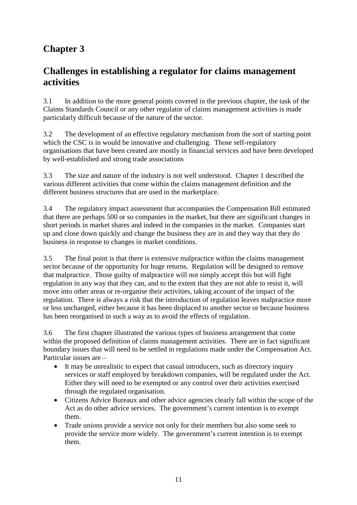# **Chapter 3**

### **Challenges in establishing a regulator for claims management activities**

3.1 In addition to the more general points covered in the previous chapter, the task of the Claims Standards Council or any other regulator of claims management activities is made particularly difficult because of the nature of the sector.

3.2 The development of an effective regulatory mechanism from the sort of starting point which the CSC is in would be innovative and challenging. Those self-regulatory organisations that have been created are mostly in financial services and have been developed by well-established and strong trade associations

3.3 The size and nature of the industry is not well understood. Chapter 1 described the various different activities that come within the claims management definition and the different business structures that are used in the marketplace.

3.4 The regulatory impact assessment that accompanies the Compensation Bill estimated that there are perhaps 500 or so companies in the market, but there are significant changes in short periods in market shares and indeed in the companies in the market. Companies start up and close down quickly and change the business they are in and they way that they do business in response to changes in market conditions.

3.5 The final point is that there is extensive malpractice within the claims management sector because of the opportunity for huge returns. Regulation will be designed to remove that malpractice. Those guilty of malpractice will not simply accept this but will fight regulation in any way that they can, and to the extent that they are not able to resist it, will move into other areas or re-organise their activities, taking account of the impact of the regulation. There is always a risk that the introduction of regulation leaves malpractice more or less unchanged, either because it has been displaced to another sector or because business has been reorganised in such a way as to avoid the effects of regulation.

3.6 The first chapter illustrated the various types of business arrangement that come within the proposed definition of claims management activities. There are in fact significant boundary issues that will need to be settled in regulations made under the Compensation Act. Particular issues are –

- It may be unrealistic to expect that casual introducers, such as directory inquiry services or staff employed by breakdown companies, will be regulated under the Act. Either they will need to be exempted or any control over their activities exercised through the regulated organisation.
- Citizens Advice Bureaux and other advice agencies clearly fall within the scope of the Act as do other advice services. The government's current intention is to exempt them.
- Trade unions provide a service not only for their members but also some seek to provide the service more widely. The government's current intention is to exempt them.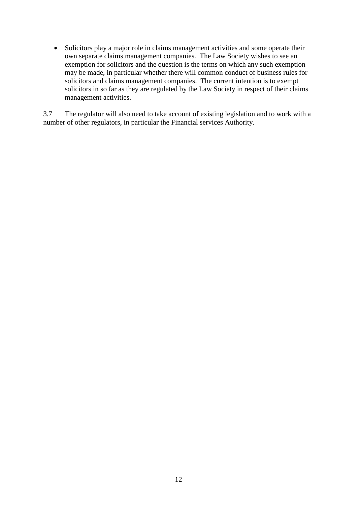• Solicitors play a major role in claims management activities and some operate their own separate claims management companies. The Law Society wishes to see an exemption for solicitors and the question is the terms on which any such exemption may be made, in particular whether there will common conduct of business rules for solicitors and claims management companies. The current intention is to exempt solicitors in so far as they are regulated by the Law Society in respect of their claims management activities.

3.7 The regulator will also need to take account of existing legislation and to work with a number of other regulators, in particular the Financial services Authority.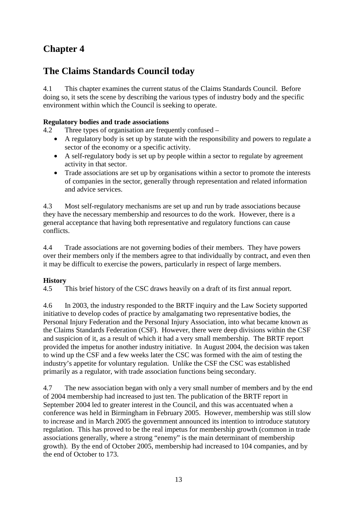# **Chapter 4**

## **The Claims Standards Council today**

4.1 This chapter examines the current status of the Claims Standards Council. Before doing so, it sets the scene by describing the various types of industry body and the specific environment within which the Council is seeking to operate.

#### **Regulatory bodies and trade associations**

4.2 Three types of organisation are frequently confused –

- A regulatory body is set up by statute with the responsibility and powers to regulate a sector of the economy or a specific activity.
- A self-regulatory body is set up by people within a sector to regulate by agreement activity in that sector.
- Trade associations are set up by organisations within a sector to promote the interests of companies in the sector, generally through representation and related information and advice services.

4.3 Most self-regulatory mechanisms are set up and run by trade associations because they have the necessary membership and resources to do the work. However, there is a general acceptance that having both representative and regulatory functions can cause conflicts.

4.4 Trade associations are not governing bodies of their members. They have powers over their members only if the members agree to that individually by contract, and even then it may be difficult to exercise the powers, particularly in respect of large members.

#### **History**

4.5 This brief history of the CSC draws heavily on a draft of its first annual report.

4.6 In 2003, the industry responded to the BRTF inquiry and the Law Society supported initiative to develop codes of practice by amalgamating two representative bodies, the Personal Injury Federation and the Personal Injury Association, into what became known as the Claims Standards Federation (CSF). However, there were deep divisions within the CSF and suspicion of it, as a result of which it had a very small membership. The BRTF report provided the impetus for another industry initiative. In August 2004, the decision was taken to wind up the CSF and a few weeks later the CSC was formed with the aim of testing the industry's appetite for voluntary regulation. Unlike the CSF the CSC was established primarily as a regulator, with trade association functions being secondary.

4.7 The new association began with only a very small number of members and by the end of 2004 membership had increased to just ten. The publication of the BRTF report in September 2004 led to greater interest in the Council, and this was accentuated when a conference was held in Birmingham in February 2005. However, membership was still slow to increase and in March 2005 the government announced its intention to introduce statutory regulation. This has proved to be the real impetus for membership growth (common in trade associations generally, where a strong "enemy" is the main determinant of membership growth). By the end of October 2005, membership had increased to 104 companies, and by the end of October to 173.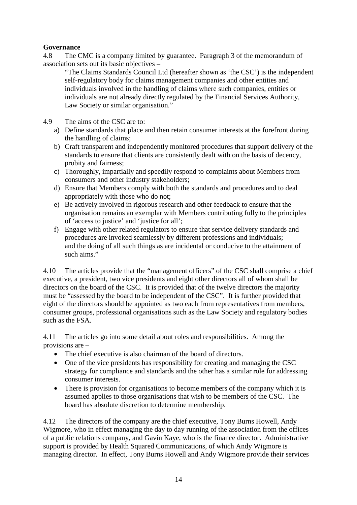#### **Governance**

4.8 The CMC is a company limited by guarantee. Paragraph 3 of the memorandum of association sets out its basic objectives –

"The Claims Standards Council Ltd (hereafter shown as 'the CSC') is the independent self-regulatory body for claims management companies and other entities and individuals involved in the handling of claims where such companies, entities or individuals are not already directly regulated by the Financial Services Authority, Law Society or similar organisation."

4.9 The aims of the CSC are to:

- a) Define standards that place and then retain consumer interests at the forefront during the handling of claims;
- b) Craft transparent and independently monitored procedures that support delivery of the standards to ensure that clients are consistently dealt with on the basis of decency, probity and fairness;
- c) Thoroughly, impartially and speedily respond to complaints about Members from consumers and other industry stakeholders;
- d) Ensure that Members comply with both the standards and procedures and to deal appropriately with those who do not;
- e) Be actively involved in rigorous research and other feedback to ensure that the organisation remains an exemplar with Members contributing fully to the principles of 'access to justice' and 'justice for all';
- f) Engage with other related regulators to ensure that service delivery standards and procedures are invoked seamlessly by different professions and individuals; and the doing of all such things as are incidental or conducive to the attainment of such aims."

4.10 The articles provide that the "management officers" of the CSC shall comprise a chief executive, a president, two vice presidents and eight other directors all of whom shall be directors on the board of the CSC. It is provided that of the twelve directors the majority must be "assessed by the board to be independent of the CSC". It is further provided that eight of the directors should be appointed as two each from representatives from members, consumer groups, professional organisations such as the Law Society and regulatory bodies such as the FSA.

4.11 The articles go into some detail about roles and responsibilities. Among the provisions are –

- The chief executive is also chairman of the board of directors.
- One of the vice presidents has responsibility for creating and managing the CSC strategy for compliance and standards and the other has a similar role for addressing consumer interests.
- There is provision for organisations to become members of the company which it is assumed applies to those organisations that wish to be members of the CSC. The board has absolute discretion to determine membership.

4.12 The directors of the company are the chief executive, Tony Burns Howell, Andy Wigmore, who in effect managing the day to day running of the association from the offices of a public relations company, and Gavin Kaye, who is the finance director. Administrative support is provided by Health Squared Communications, of which Andy Wigmore is managing director. In effect, Tony Burns Howell and Andy Wigmore provide their services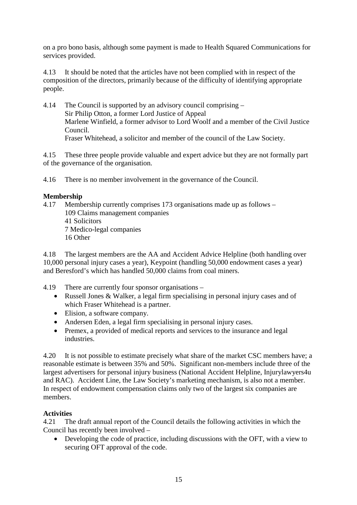on a pro bono basis, although some payment is made to Health Squared Communications for services provided.

4.13 It should be noted that the articles have not been complied with in respect of the composition of the directors, primarily because of the difficulty of identifying appropriate people.

4.14 The Council is supported by an advisory council comprising – Sir Philip Otton, a former Lord Justice of Appeal Marlene Winfield, a former advisor to Lord Woolf and a member of the Civil Justice Council. Fraser Whitehead, a solicitor and member of the council of the Law Society.

4.15 These three people provide valuable and expert advice but they are not formally part of the governance of the organisation.

4.16 There is no member involvement in the governance of the Council.

#### **Membership**

4.17 Membership currently comprises 173 organisations made up as follows – 109 Claims management companies 41 Solicitors 7 Medico-legal companies 16 Other

4.18 The largest members are the AA and Accident Advice Helpline (both handling over 10,000 personal injury cases a year), Keypoint (handling 50,000 endowment cases a year) and Beresford's which has handled 50,000 claims from coal miners.

4.19 There are currently four sponsor organisations –

- Russell Jones & Walker, a legal firm specialising in personal injury cases and of which Fraser Whitehead is a partner.
- Elision, a software company.
- Andersen Eden, a legal firm specialising in personal injury cases.
- Premex, a provided of medical reports and services to the insurance and legal industries.

4.20 It is not possible to estimate precisely what share of the market CSC members have; a reasonable estimate is between 35% and 50%. Significant non-members include three of the largest advertisers for personal injury business (National Accident Helpline, Injurylawyers4u and RAC). Accident Line, the Law Society's marketing mechanism, is also not a member. In respect of endowment compensation claims only two of the largest six companies are members.

#### **Activities**

4.21 The draft annual report of the Council details the following activities in which the Council has recently been involved –

• Developing the code of practice, including discussions with the OFT, with a view to securing OFT approval of the code.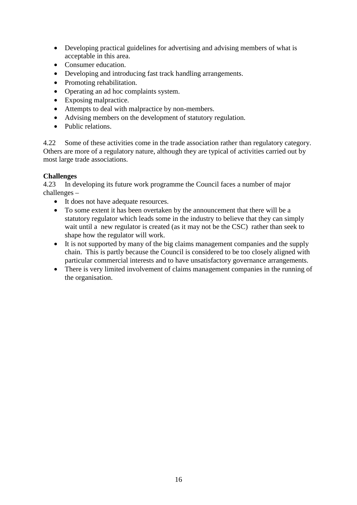- Developing practical guidelines for advertising and advising members of what is acceptable in this area.
- Consumer education.
- Developing and introducing fast track handling arrangements.
- Promoting rehabilitation.
- Operating an ad hoc complaints system.
- Exposing malpractice.
- Attempts to deal with malpractice by non-members.
- Advising members on the development of statutory regulation.
- Public relations.

4.22 Some of these activities come in the trade association rather than regulatory category. Others are more of a regulatory nature, although they are typical of activities carried out by most large trade associations.

#### **Challenges**

4.23 In developing its future work programme the Council faces a number of major challenges –

- It does not have adequate resources.
- To some extent it has been overtaken by the announcement that there will be a statutory regulator which leads some in the industry to believe that they can simply wait until a new regulator is created (as it may not be the CSC) rather than seek to shape how the regulator will work.
- It is not supported by many of the big claims management companies and the supply chain. This is partly because the Council is considered to be too closely aligned with particular commercial interests and to have unsatisfactory governance arrangements.
- There is very limited involvement of claims management companies in the running of the organisation.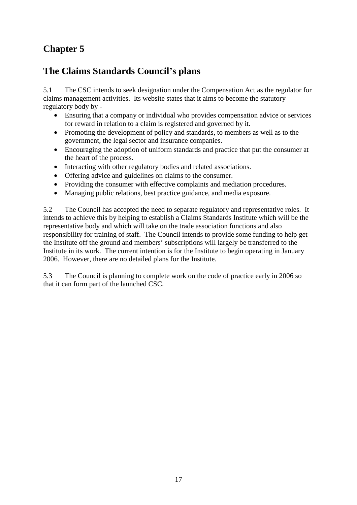## **Chapter 5**

## **The Claims Standards Council's plans**

5.1 The CSC intends to seek designation under the Compensation Act as the regulator for claims management activities. Its website states that it aims to become the statutory regulatory body by -

- Ensuring that a company or individual who provides compensation advice or services for reward in relation to a claim is registered and governed by it.
- Promoting the development of policy and standards, to members as well as to the government, the legal sector and insurance companies.
- Encouraging the adoption of uniform standards and practice that put the consumer at the heart of the process.
- Interacting with other regulatory bodies and related associations.
- Offering advice and guidelines on claims to the consumer.
- Providing the consumer with effective complaints and mediation procedures.
- Managing public relations, best practice guidance, and media exposure.

5.2 The Council has accepted the need to separate regulatory and representative roles. It intends to achieve this by helping to establish a Claims Standards Institute which will be the representative body and which will take on the trade association functions and also responsibility for training of staff. The Council intends to provide some funding to help get the Institute off the ground and members' subscriptions will largely be transferred to the Institute in its work. The current intention is for the Institute to begin operating in January 2006. However, there are no detailed plans for the Institute.

5.3 The Council is planning to complete work on the code of practice early in 2006 so that it can form part of the launched CSC.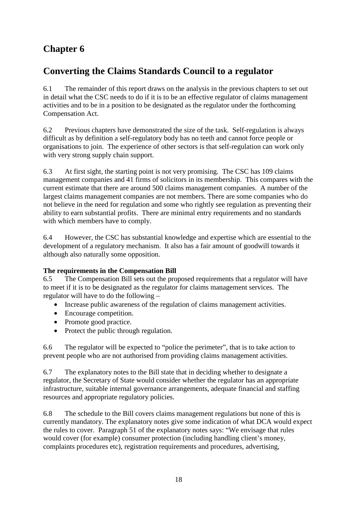# **Chapter 6**

### **Converting the Claims Standards Council to a regulator**

6.1 The remainder of this report draws on the analysis in the previous chapters to set out in detail what the CSC needs to do if it is to be an effective regulator of claims management activities and to be in a position to be designated as the regulator under the forthcoming Compensation Act.

6.2 Previous chapters have demonstrated the size of the task. Self-regulation is always difficult as by definition a self-regulatory body has no teeth and cannot force people or organisations to join. The experience of other sectors is that self-regulation can work only with very strong supply chain support.

6.3 At first sight, the starting point is not very promising. The CSC has 109 claims management companies and 41 firms of solicitors in its membership. This compares with the current estimate that there are around 500 claims management companies. A number of the largest claims management companies are not members. There are some companies who do not believe in the need for regulation and some who rightly see regulation as preventing their ability to earn substantial profits. There are minimal entry requirements and no standards with which members have to comply.

6.4 However, the CSC has substantial knowledge and expertise which are essential to the development of a regulatory mechanism. It also has a fair amount of goodwill towards it although also naturally some opposition.

#### **The requirements in the Compensation Bill**

6.5 The Compensation Bill sets out the proposed requirements that a regulator will have to meet if it is to be designated as the regulator for claims management services. The regulator will have to do the following –

- Increase public awareness of the regulation of claims management activities.
- Encourage competition.
- Promote good practice.
- Protect the public through regulation.

6.6 The regulator will be expected to "police the perimeter", that is to take action to prevent people who are not authorised from providing claims management activities.

6.7 The explanatory notes to the Bill state that in deciding whether to designate a regulator, the Secretary of State would consider whether the regulator has an appropriate infrastructure, suitable internal governance arrangements, adequate financial and staffing resources and appropriate regulatory policies.

6.8 The schedule to the Bill covers claims management regulations but none of this is currently mandatory. The explanatory notes give some indication of what DCA would expect the rules to cover. Paragraph 51 of the explanatory notes says: "We envisage that rules would cover (for example) consumer protection (including handling client's money, complaints procedures etc), registration requirements and procedures, advertising,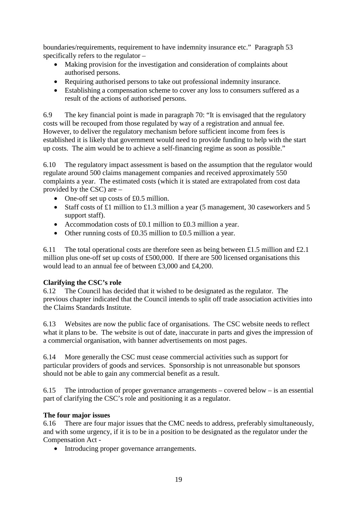boundaries/requirements, requirement to have indemnity insurance etc." Paragraph 53 specifically refers to the regulator –

- Making provision for the investigation and consideration of complaints about authorised persons.
- Requiring authorised persons to take out professional indemnity insurance.
- Establishing a compensation scheme to cover any loss to consumers suffered as a result of the actions of authorised persons.

6.9 The key financial point is made in paragraph 70: "It is envisaged that the regulatory costs will be recouped from those regulated by way of a registration and annual fee. However, to deliver the regulatory mechanism before sufficient income from fees is established it is likely that government would need to provide funding to help with the start up costs. The aim would be to achieve a self-financing regime as soon as possible."

6.10 The regulatory impact assessment is based on the assumption that the regulator would regulate around 500 claims management companies and received approximately 550 complaints a year. The estimated costs (which it is stated are extrapolated from cost data provided by the CSC) are –

- One-off set up costs of £0.5 million.
- Staff costs of £1 million to £1.3 million a year (5 management, 30 caseworkers and 5 support staff).
- Accommodation costs of £0.1 million to £0.3 million a year.
- Other running costs of £0.35 million to £0.5 million a year.

6.11 The total operational costs are therefore seen as being between £1.5 million and £2.1 million plus one-off set up costs of £500,000. If there are 500 licensed organisations this would lead to an annual fee of between £3,000 and £4,200.

#### **Clarifying the CSC's role**

6.12 The Council has decided that it wished to be designated as the regulator. The previous chapter indicated that the Council intends to split off trade association activities into the Claims Standards Institute.

6.13 Websites are now the public face of organisations. The CSC website needs to reflect what it plans to be. The website is out of date, inaccurate in parts and gives the impression of a commercial organisation, with banner advertisements on most pages.

6.14 More generally the CSC must cease commercial activities such as support for particular providers of goods and services. Sponsorship is not unreasonable but sponsors should not be able to gain any commercial benefit as a result.

6.15 The introduction of proper governance arrangements – covered below – is an essential part of clarifying the CSC's role and positioning it as a regulator.

#### **The four major issues**

6.16 There are four major issues that the CMC needs to address, preferably simultaneously, and with some urgency, if it is to be in a position to be designated as the regulator under the Compensation Act -

• Introducing proper governance arrangements.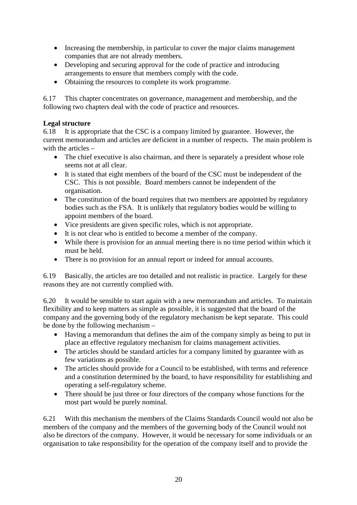- Increasing the membership, in particular to cover the major claims management companies that are not already members.
- Developing and securing approval for the code of practice and introducing arrangements to ensure that members comply with the code.
- Obtaining the resources to complete its work programme.

6.17 This chapter concentrates on governance, management and membership, and the following two chapters deal with the code of practice and resources.

#### **Legal structure**

6.18 It is appropriate that the CSC is a company limited by guarantee. However, the current memorandum and articles are deficient in a number of respects. The main problem is with the articles –

- The chief executive is also chairman, and there is separately a president whose role seems not at all clear.
- It is stated that eight members of the board of the CSC must be independent of the CSC. This is not possible. Board members cannot be independent of the organisation.
- The constitution of the board requires that two members are appointed by regulatory bodies such as the FSA. It is unlikely that regulatory bodies would be willing to appoint members of the board.
- Vice presidents are given specific roles, which is not appropriate.
- It is not clear who is entitled to become a member of the company.
- While there is provision for an annual meeting there is no time period within which it must be held.
- There is no provision for an annual report or indeed for annual accounts.

6.19 Basically, the articles are too detailed and not realistic in practice. Largely for these reasons they are not currently complied with.

6.20 It would be sensible to start again with a new memorandum and articles. To maintain flexibility and to keep matters as simple as possible, it is suggested that the board of the company and the governing body of the regulatory mechanism be kept separate. This could be done by the following mechanism –

- Having a memorandum that defines the aim of the company simply as being to put in place an effective regulatory mechanism for claims management activities.
- The articles should be standard articles for a company limited by guarantee with as few variations as possible.
- The articles should provide for a Council to be established, with terms and reference and a constitution determined by the board, to have responsibility for establishing and operating a self-regulatory scheme.
- There should be just three or four directors of the company whose functions for the most part would be purely nominal.

6.21 With this mechanism the members of the Claims Standards Council would not also be members of the company and the members of the governing body of the Council would not also be directors of the company. However, it would be necessary for some individuals or an organisation to take responsibility for the operation of the company itself and to provide the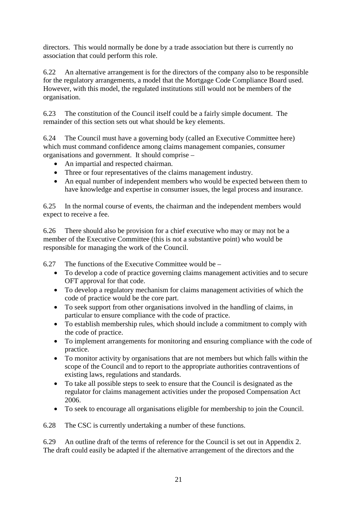directors. This would normally be done by a trade association but there is currently no association that could perform this role.

6.22 An alternative arrangement is for the directors of the company also to be responsible for the regulatory arrangements, a model that the Mortgage Code Compliance Board used. However, with this model, the regulated institutions still would not be members of the organisation.

6.23 The constitution of the Council itself could be a fairly simple document. The remainder of this section sets out what should be key elements.

6.24 The Council must have a governing body (called an Executive Committee here) which must command confidence among claims management companies, consumer organisations and government. It should comprise –

- An impartial and respected chairman.
- Three or four representatives of the claims management industry.
- An equal number of independent members who would be expected between them to have knowledge and expertise in consumer issues, the legal process and insurance.

6.25 In the normal course of events, the chairman and the independent members would expect to receive a fee.

6.26 There should also be provision for a chief executive who may or may not be a member of the Executive Committee (this is not a substantive point) who would be responsible for managing the work of the Council.

6.27 The functions of the Executive Committee would be –

- To develop a code of practice governing claims management activities and to secure OFT approval for that code.
- To develop a regulatory mechanism for claims management activities of which the code of practice would be the core part.
- To seek support from other organisations involved in the handling of claims, in particular to ensure compliance with the code of practice.
- To establish membership rules, which should include a commitment to comply with the code of practice.
- To implement arrangements for monitoring and ensuring compliance with the code of practice.
- To monitor activity by organisations that are not members but which falls within the scope of the Council and to report to the appropriate authorities contraventions of existing laws, regulations and standards.
- To take all possible steps to seek to ensure that the Council is designated as the regulator for claims management activities under the proposed Compensation Act 2006.
- To seek to encourage all organisations eligible for membership to join the Council.

6.28 The CSC is currently undertaking a number of these functions.

6.29 An outline draft of the terms of reference for the Council is set out in Appendix 2. The draft could easily be adapted if the alternative arrangement of the directors and the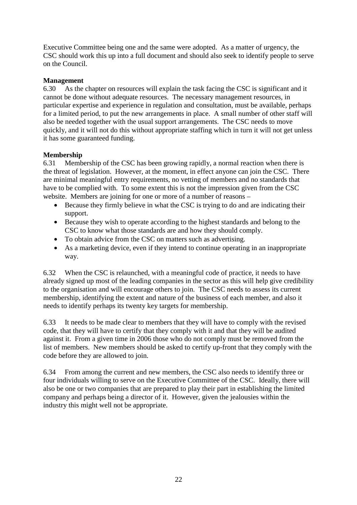Executive Committee being one and the same were adopted. As a matter of urgency, the CSC should work this up into a full document and should also seek to identify people to serve on the Council.

#### **Management**

6.30 As the chapter on resources will explain the task facing the CSC is significant and it cannot be done without adequate resources. The necessary management resources, in particular expertise and experience in regulation and consultation, must be available, perhaps for a limited period, to put the new arrangements in place. A small number of other staff will also be needed together with the usual support arrangements. The CSC needs to move quickly, and it will not do this without appropriate staffing which in turn it will not get unless it has some guaranteed funding.

#### **Membership**

6.31 Membership of the CSC has been growing rapidly, a normal reaction when there is the threat of legislation. However, at the moment, in effect anyone can join the CSC. There are minimal meaningful entry requirements, no vetting of members and no standards that have to be complied with. To some extent this is not the impression given from the CSC website. Members are joining for one or more of a number of reasons –

- Because they firmly believe in what the CSC is trying to do and are indicating their support.
- Because they wish to operate according to the highest standards and belong to the CSC to know what those standards are and how they should comply.
- To obtain advice from the CSC on matters such as advertising.
- As a marketing device, even if they intend to continue operating in an inappropriate way.

6.32 When the CSC is relaunched, with a meaningful code of practice, it needs to have already signed up most of the leading companies in the sector as this will help give credibility to the organisation and will encourage others to join. The CSC needs to assess its current membership, identifying the extent and nature of the business of each member, and also it needs to identify perhaps its twenty key targets for membership.

6.33 It needs to be made clear to members that they will have to comply with the revised code, that they will have to certify that they comply with it and that they will be audited against it. From a given time in 2006 those who do not comply must be removed from the list of members. New members should be asked to certify up-front that they comply with the code before they are allowed to join.

6.34 From among the current and new members, the CSC also needs to identify three or four individuals willing to serve on the Executive Committee of the CSC. Ideally, there will also be one or two companies that are prepared to play their part in establishing the limited company and perhaps being a director of it. However, given the jealousies within the industry this might well not be appropriate.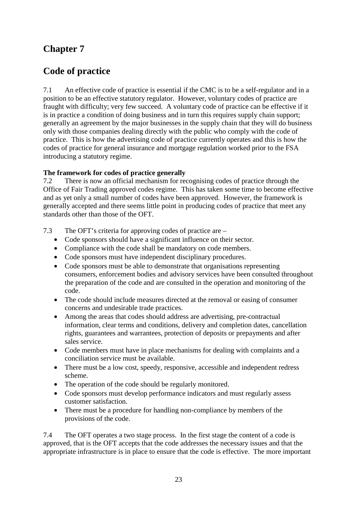### **Chapter 7**

### **Code of practice**

7.1 An effective code of practice is essential if the CMC is to be a self-regulator and in a position to be an effective statutory regulator. However, voluntary codes of practice are fraught with difficulty; very few succeed. A voluntary code of practice can be effective if it is in practice a condition of doing business and in turn this requires supply chain support; generally an agreement by the major businesses in the supply chain that they will do business only with those companies dealing directly with the public who comply with the code of practice. This is how the advertising code of practice currently operates and this is how the codes of practice for general insurance and mortgage regulation worked prior to the FSA introducing a statutory regime.

#### **The framework for codes of practice generally**

7.2 There is now an official mechanism for recognising codes of practice through the Office of Fair Trading approved codes regime. This has taken some time to become effective and as yet only a small number of codes have been approved. However, the framework is generally accepted and there seems little point in producing codes of practice that meet any standards other than those of the OFT.

7.3 The OFT's criteria for approving codes of practice are –

- Code sponsors should have a significant influence on their sector.
- Compliance with the code shall be mandatory on code members.
- Code sponsors must have independent disciplinary procedures.
- Code sponsors must be able to demonstrate that organisations representing consumers, enforcement bodies and advisory services have been consulted throughout the preparation of the code and are consulted in the operation and monitoring of the code.
- The code should include measures directed at the removal or easing of consumer concerns and undesirable trade practices.
- Among the areas that codes should address are advertising, pre-contractual information, clear terms and conditions, delivery and completion dates, cancellation rights, guarantees and warrantees, protection of deposits or prepayments and after sales service.
- Code members must have in place mechanisms for dealing with complaints and a conciliation service must be available.
- There must be a low cost, speedy, responsive, accessible and independent redress scheme.
- The operation of the code should be regularly monitored.
- Code sponsors must develop performance indicators and must regularly assess customer satisfaction.
- There must be a procedure for handling non-compliance by members of the provisions of the code.

7.4 The OFT operates a two stage process. In the first stage the content of a code is approved, that is the OFT accepts that the code addresses the necessary issues and that the appropriate infrastructure is in place to ensure that the code is effective. The more important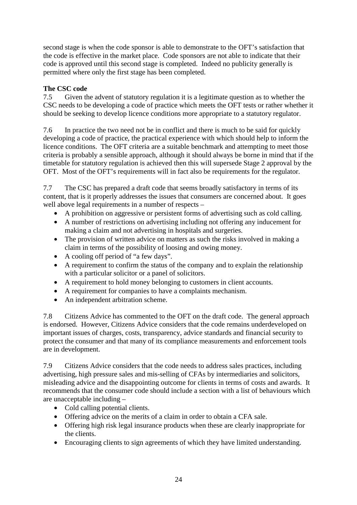second stage is when the code sponsor is able to demonstrate to the OFT's satisfaction that the code is effective in the market place. Code sponsors are not able to indicate that their code is approved until this second stage is completed. Indeed no publicity generally is permitted where only the first stage has been completed.

#### **The CSC code**

7.5 Given the advent of statutory regulation it is a legitimate question as to whether the CSC needs to be developing a code of practice which meets the OFT tests or rather whether it should be seeking to develop licence conditions more appropriate to a statutory regulator.

7.6 In practice the two need not be in conflict and there is much to be said for quickly developing a code of practice, the practical experience with which should help to inform the licence conditions. The OFT criteria are a suitable benchmark and attempting to meet those criteria is probably a sensible approach, although it should always be borne in mind that if the timetable for statutory regulation is achieved then this will supersede Stage 2 approval by the OFT. Most of the OFT's requirements will in fact also be requirements for the regulator.

7.7 The CSC has prepared a draft code that seems broadly satisfactory in terms of its content, that is it properly addresses the issues that consumers are concerned about. It goes well above legal requirements in a number of respects –

- A prohibition on aggressive or persistent forms of advertising such as cold calling.
- A number of restrictions on advertising including not offering any inducement for making a claim and not advertising in hospitals and surgeries.
- The provision of written advice on matters as such the risks involved in making a claim in terms of the possibility of loosing and owing money.
- A cooling off period of "a few days".
- A requirement to confirm the status of the company and to explain the relationship with a particular solicitor or a panel of solicitors.
- A requirement to hold money belonging to customers in client accounts.
- A requirement for companies to have a complaints mechanism.
- An independent arbitration scheme.

7.8 Citizens Advice has commented to the OFT on the draft code. The general approach is endorsed. However, Citizens Advice considers that the code remains underdeveloped on important issues of charges, costs, transparency, advice standards and financial security to protect the consumer and that many of its compliance measurements and enforcement tools are in development.

7.9 Citizens Advice considers that the code needs to address sales practices, including advertising, high pressure sales and mis-selling of CFAs by intermediaries and solicitors, misleading advice and the disappointing outcome for clients in terms of costs and awards. It recommends that the consumer code should include a section with a list of behaviours which are unacceptable including –

- Cold calling potential clients.
- Offering advice on the merits of a claim in order to obtain a CFA sale.
- Offering high risk legal insurance products when these are clearly inappropriate for the clients.
- Encouraging clients to sign agreements of which they have limited understanding.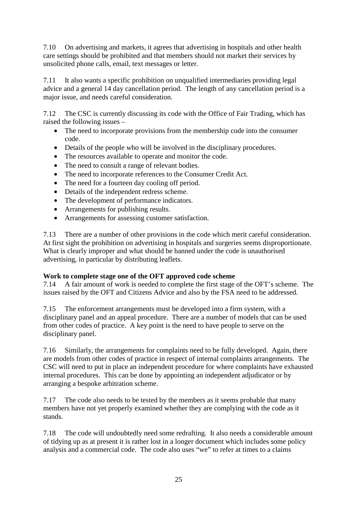7.10 On advertising and markets, it agrees that advertising in hospitals and other health care settings should be prohibited and that members should not market their services by unsolicited phone calls, email, text messages or letter.

7.11 It also wants a specific prohibition on unqualified intermediaries providing legal advice and a general 14 day cancellation period. The length of any cancellation period is a major issue, and needs careful consideration.

7.12 The CSC is currently discussing its code with the Office of Fair Trading, which has raised the following issues –

- The need to incorporate provisions from the membership code into the consumer code.
- Details of the people who will be involved in the disciplinary procedures.
- The resources available to operate and monitor the code.
- The need to consult a range of relevant bodies.
- The need to incorporate references to the Consumer Credit Act.
- The need for a fourteen day cooling off period.
- Details of the independent redress scheme.
- The development of performance indicators.
- Arrangements for publishing results.
- Arrangements for assessing customer satisfaction.

7.13 There are a number of other provisions in the code which merit careful consideration. At first sight the prohibition on advertising in hospitals and surgeries seems disproportionate. What is clearly improper and what should be banned under the code is unauthorised advertising, in particular by distributing leaflets.

#### **Work to complete stage one of the OFT approved code scheme**

7.14 A fair amount of work is needed to complete the first stage of the OFT's scheme. The issues raised by the OFT and Citizens Advice and also by the FSA need to be addressed.

7.15 The enforcement arrangements must be developed into a firm system, with a disciplinary panel and an appeal procedure. There are a number of models that can be used from other codes of practice. A key point is the need to have people to serve on the disciplinary panel.

7.16 Similarly, the arrangements for complaints need to be fully developed. Again, there are models from other codes of practice in respect of internal complaints arrangements. The CSC will need to put in place an independent procedure for where complaints have exhausted internal procedures. This can be done by appointing an independent adjudicator or by arranging a bespoke arbitration scheme.

7.17 The code also needs to be tested by the members as it seems probable that many members have not yet properly examined whether they are complying with the code as it stands.

7.18 The code will undoubtedly need some redrafting. It also needs a considerable amount of tidying up as at present it is rather lost in a longer document which includes some policy analysis and a commercial code. The code also uses "we" to refer at times to a claims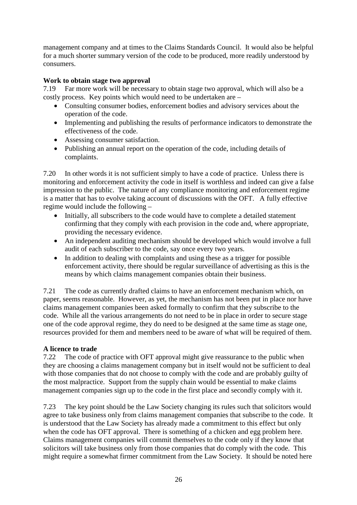management company and at times to the Claims Standards Council. It would also be helpful for a much shorter summary version of the code to be produced, more readily understood by consumers.

#### **Work to obtain stage two approval**

7.19 Far more work will be necessary to obtain stage two approval, which will also be a costly process. Key points which would need to be undertaken are –

- Consulting consumer bodies, enforcement bodies and advisory services about the operation of the code.
- Implementing and publishing the results of performance indicators to demonstrate the effectiveness of the code.
- Assessing consumer satisfaction.
- Publishing an annual report on the operation of the code, including details of complaints.

7.20 In other words it is not sufficient simply to have a code of practice. Unless there is monitoring and enforcement activity the code in itself is worthless and indeed can give a false impression to the public. The nature of any compliance monitoring and enforcement regime is a matter that has to evolve taking account of discussions with the OFT. A fully effective regime would include the following –

- Initially, all subscribers to the code would have to complete a detailed statement confirming that they comply with each provision in the code and, where appropriate, providing the necessary evidence.
- An independent auditing mechanism should be developed which would involve a full audit of each subscriber to the code, say once every two years.
- In addition to dealing with complaints and using these as a trigger for possible enforcement activity, there should be regular surveillance of advertising as this is the means by which claims management companies obtain their business.

7.21 The code as currently drafted claims to have an enforcement mechanism which, on paper, seems reasonable. However, as yet, the mechanism has not been put in place nor have claims management companies been asked formally to confirm that they subscribe to the code. While all the various arrangements do not need to be in place in order to secure stage one of the code approval regime, they do need to be designed at the same time as stage one, resources provided for them and members need to be aware of what will be required of them.

#### **A licence to trade**

7.22 The code of practice with OFT approval might give reassurance to the public when they are choosing a claims management company but in itself would not be sufficient to deal with those companies that do not choose to comply with the code and are probably guilty of the most malpractice. Support from the supply chain would be essential to make claims management companies sign up to the code in the first place and secondly comply with it.

7.23 The key point should be the Law Society changing its rules such that solicitors would agree to take business only from claims management companies that subscribe to the code. It is understood that the Law Society has already made a commitment to this effect but only when the code has OFT approval. There is something of a chicken and egg problem here. Claims management companies will commit themselves to the code only if they know that solicitors will take business only from those companies that do comply with the code. This might require a somewhat firmer commitment from the Law Society. It should be noted here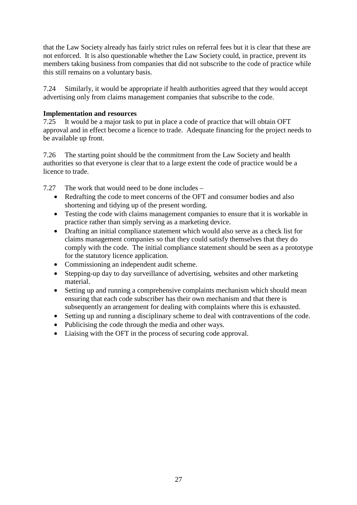that the Law Society already has fairly strict rules on referral fees but it is clear that these are not enforced. It is also questionable whether the Law Society could, in practice, prevent its members taking business from companies that did not subscribe to the code of practice while this still remains on a voluntary basis.

7.24 Similarly, it would be appropriate if health authorities agreed that they would accept advertising only from claims management companies that subscribe to the code.

#### **Implementation and resources**

7.25 It would be a major task to put in place a code of practice that will obtain OFT approval and in effect become a licence to trade. Adequate financing for the project needs to be available up front.

7.26 The starting point should be the commitment from the Law Society and health authorities so that everyone is clear that to a large extent the code of practice would be a licence to trade.

7.27 The work that would need to be done includes –

- Redrafting the code to meet concerns of the OFT and consumer bodies and also shortening and tidying up of the present wording.
- Testing the code with claims management companies to ensure that it is workable in practice rather than simply serving as a marketing device.
- Drafting an initial compliance statement which would also serve as a check list for claims management companies so that they could satisfy themselves that they do comply with the code. The initial compliance statement should be seen as a prototype for the statutory licence application.
- Commissioning an independent audit scheme.
- Stepping-up day to day surveillance of advertising, websites and other marketing material.
- Setting up and running a comprehensive complaints mechanism which should mean ensuring that each code subscriber has their own mechanism and that there is subsequently an arrangement for dealing with complaints where this is exhausted.
- Setting up and running a disciplinary scheme to deal with contraventions of the code.
- Publicising the code through the media and other ways.
- Liaising with the OFT in the process of securing code approval.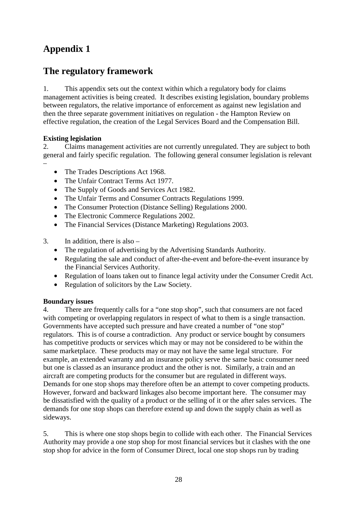# **Appendix 1**

### **The regulatory framework**

1. This appendix sets out the context within which a regulatory body for claims management activities is being created. It describes existing legislation, boundary problems between regulators, the relative importance of enforcement as against new legislation and then the three separate government initiatives on regulation - the Hampton Review on effective regulation, the creation of the Legal Services Board and the Compensation Bill.

#### **Existing legislation**

2. Claims management activities are not currently unregulated. They are subject to both general and fairly specific regulation. The following general consumer legislation is relevant –

- The Trades Descriptions Act 1968.
- The Unfair Contract Terms Act 1977.
- The Supply of Goods and Services Act 1982.
- The Unfair Terms and Consumer Contracts Regulations 1999.
- The Consumer Protection (Distance Selling) Regulations 2000.
- The Electronic Commerce Regulations 2002.
- The Financial Services (Distance Marketing) Regulations 2003.
- 3. In addition, there is also
	- The regulation of advertising by the Advertising Standards Authority.
	- Regulating the sale and conduct of after-the-event and before-the-event insurance by the Financial Services Authority.
	- Regulation of loans taken out to finance legal activity under the Consumer Credit Act.
	- Regulation of solicitors by the Law Society.

#### **Boundary issues**

4. There are frequently calls for a "one stop shop", such that consumers are not faced with competing or overlapping regulators in respect of what to them is a single transaction. Governments have accepted such pressure and have created a number of "one stop" regulators. This is of course a contradiction. Any product or service bought by consumers has competitive products or services which may or may not be considered to be within the same marketplace. These products may or may not have the same legal structure. For example, an extended warranty and an insurance policy serve the same basic consumer need but one is classed as an insurance product and the other is not. Similarly, a train and an aircraft are competing products for the consumer but are regulated in different ways. Demands for one stop shops may therefore often be an attempt to cover competing products. However, forward and backward linkages also become important here. The consumer may be dissatisfied with the quality of a product or the selling of it or the after sales services. The demands for one stop shops can therefore extend up and down the supply chain as well as sideways.

5. This is where one stop shops begin to collide with each other. The Financial Services Authority may provide a one stop shop for most financial services but it clashes with the one stop shop for advice in the form of Consumer Direct, local one stop shops run by trading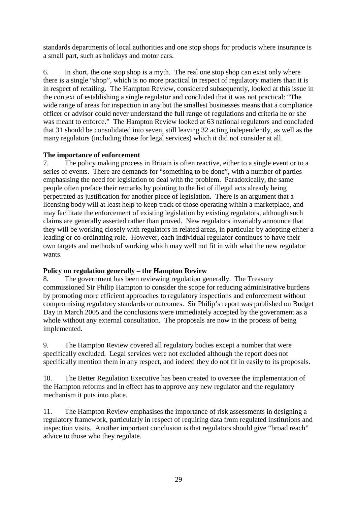standards departments of local authorities and one stop shops for products where insurance is a small part, such as holidays and motor cars.

6. In short, the one stop shop is a myth. The real one stop shop can exist only where there is a single "shop", which is no more practical in respect of regulatory matters than it is in respect of retailing. The Hampton Review, considered subsequently, looked at this issue in the context of establishing a single regulator and concluded that it was not practical: "The wide range of areas for inspection in any but the smallest businesses means that a compliance officer or advisor could never understand the full range of regulations and criteria he or she was meant to enforce." The Hampton Review looked at 63 national regulators and concluded that 31 should be consolidated into seven, still leaving 32 acting independently, as well as the many regulators (including those for legal services) which it did not consider at all.

#### **The importance of enforcement**

7. The policy making process in Britain is often reactive, either to a single event or to a series of events. There are demands for "something to be done", with a number of parties emphasising the need for legislation to deal with the problem. Paradoxically, the same people often preface their remarks by pointing to the list of illegal acts already being perpetrated as justification for another piece of legislation. There is an argument that a licensing body will at least help to keep track of those operating within a marketplace, and may facilitate the enforcement of existing legislation by existing regulators, although such claims are generally asserted rather than proved. New regulators invariably announce that they will be working closely with regulators in related areas, in particular by adopting either a leading or co-ordinating role. However, each individual regulator continues to have their own targets and methods of working which may well not fit in with what the new regulator wants.

#### **Policy on regulation generally – the Hampton Review**

8. The government has been reviewing regulation generally. The Treasury commissioned Sir Philip Hampton to consider the scope for reducing administrative burdens by promoting more efficient approaches to regulatory inspections and enforcement without compromising regulatory standards or outcomes. Sir Philip's report was published on Budget Day in March 2005 and the conclusions were immediately accepted by the government as a whole without any external consultation. The proposals are now in the process of being implemented.

9. The Hampton Review covered all regulatory bodies except a number that were specifically excluded. Legal services were not excluded although the report does not specifically mention them in any respect, and indeed they do not fit in easily to its proposals.

10. The Better Regulation Executive has been created to oversee the implementation of the Hampton reforms and in effect has to approve any new regulator and the regulatory mechanism it puts into place.

11. The Hampton Review emphasises the importance of risk assessments in designing a regulatory framework, particularly in respect of requiring data from regulated institutions and inspection visits. Another important conclusion is that regulators should give "broad reach" advice to those who they regulate.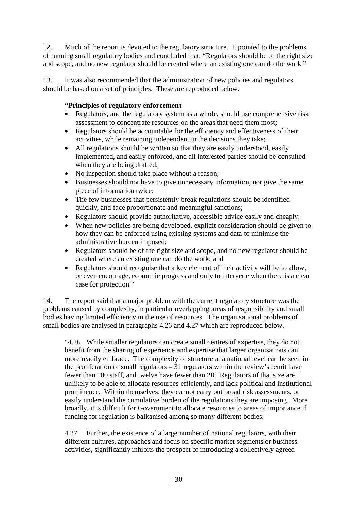12. Much of the report is devoted to the regulatory structure. It pointed to the problems of running small regulatory bodies and concluded that: "Regulators should be of the right size and scope, and no new regulator should be created where an existing one can do the work."

13. It was also recommended that the administration of new policies and regulators should be based on a set of principles. These are reproduced below.

#### **"Principles of regulatory enforcement**

- Regulators, and the regulatory system as a whole, should use comprehensive risk assessment to concentrate resources on the areas that need them most;
- Regulators should be accountable for the efficiency and effectiveness of their activities, while remaining independent in the decisions they take;
- All regulations should be written so that they are easily understood, easily implemented, and easily enforced, and all interested parties should be consulted when they are being drafted;
- No inspection should take place without a reason;
- Businesses should not have to give unnecessary information, nor give the same piece of information twice;
- The few businesses that persistently break regulations should be identified quickly, and face proportionate and meaningful sanctions;
- Regulators should provide authoritative, accessible advice easily and cheaply;
- When new policies are being developed, explicit consideration should be given to how they can be enforced using existing systems and data to minimise the administrative burden imposed;
- Regulators should be of the right size and scope, and no new regulator should be created where an existing one can do the work; and
- Regulators should recognise that a key element of their activity will be to allow, or even encourage, economic progress and only to intervene when there is a clear case for protection."

14. The report said that a major problem with the current regulatory structure was the problems caused by complexity, in particular overlapping areas of responsibility and small bodies having limited efficiency in the use of resources. The organisational problems of small bodies are analysed in paragraphs 4.26 and 4.27 which are reproduced below.

"4.26 While smaller regulators can create small centres of expertise, they do not benefit from the sharing of experience and expertise that larger organisations can more readily embrace. The complexity of structure at a national level can be seen in the proliferation of small regulators – 31 regulators within the review's remit have fewer than 100 staff, and twelve have fewer than 20. Regulators of that size are unlikely to be able to allocate resources efficiently, and lack political and institutional prominence. Within themselves, they cannot carry out broad risk assessments, or easily understand the cumulative burden of the regulations they are imposing. More broadly, it is difficult for Government to allocate resources to areas of importance if funding for regulation is balkanised among so many different bodies.

4.27 Further, the existence of a large number of national regulators, with their different cultures, approaches and focus on specific market segments or business activities, significantly inhibits the prospect of introducing a collectively agreed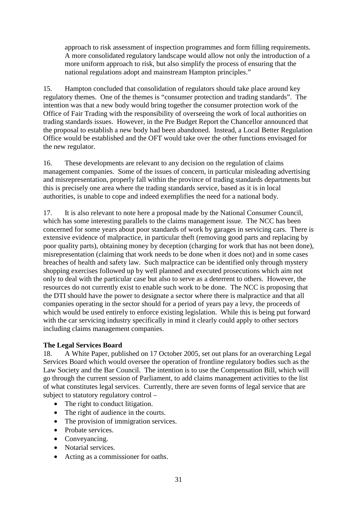approach to risk assessment of inspection programmes and form filling requirements. A more consolidated regulatory landscape would allow not only the introduction of a more uniform approach to risk, but also simplify the process of ensuring that the national regulations adopt and mainstream Hampton principles."

15. Hampton concluded that consolidation of regulators should take place around key regulatory themes. One of the themes is "consumer protection and trading standards". The intention was that a new body would bring together the consumer protection work of the Office of Fair Trading with the responsibility of overseeing the work of local authorities on trading standards issues. However, in the Pre Budget Report the Chancellor announced that the proposal to establish a new body had been abandoned. Instead, a Local Better Regulation Office would be established and the OFT would take over the other functions envisaged for the new regulator.

16. These developments are relevant to any decision on the regulation of claims management companies. Some of the issues of concern, in particular misleading advertising and misrepresentation, properly fall within the province of trading standards departments but this is precisely one area where the trading standards service, based as it is in local authorities, is unable to cope and indeed exemplifies the need for a national body.

17. It is also relevant to note here a proposal made by the National Consumer Council, which has some interesting parallels to the claims management issue. The NCC has been concerned for some years about poor standards of work by garages in servicing cars. There is extensive evidence of malpractice, in particular theft (removing good parts and replacing by poor quality parts), obtaining money by deception (charging for work that has not been done), misrepresentation (claiming that work needs to be done when it does not) and in some cases breaches of health and safety law. Such malpractice can be identified only through mystery shopping exercises followed up by well planned and executed prosecutions which aim not only to deal with the particular case but also to serve as a deterrent to others. However, the resources do not currently exist to enable such work to be done. The NCC is proposing that the DTI should have the power to designate a sector where there is malpractice and that all companies operating in the sector should for a period of years pay a levy, the proceeds of which would be used entirely to enforce existing legislation. While this is being put forward with the car servicing industry specifically in mind it clearly could apply to other sectors including claims management companies.

#### **The Legal Services Board**

18. A White Paper, published on 17 October 2005, set out plans for an overarching Legal Services Board which would oversee the operation of frontline regulatory bodies such as the Law Society and the Bar Council. The intention is to use the Compensation Bill, which will go through the current session of Parliament, to add claims management activities to the list of what constitutes legal services. Currently, there are seven forms of legal service that are subject to statutory regulatory control –

- The right to conduct litigation.
- The right of audience in the courts.
- The provision of immigration services.
- Probate services.
- Conveyancing.
- Notarial services.
- Acting as a commissioner for oaths.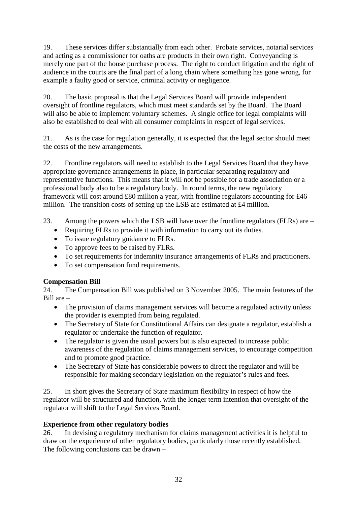19. These services differ substantially from each other. Probate services, notarial services and acting as a commissioner for oaths are products in their own right. Conveyancing is merely one part of the house purchase process. The right to conduct litigation and the right of audience in the courts are the final part of a long chain where something has gone wrong, for example a faulty good or service, criminal activity or negligence.

20. The basic proposal is that the Legal Services Board will provide independent oversight of frontline regulators, which must meet standards set by the Board. The Board will also be able to implement voluntary schemes. A single office for legal complaints will also be established to deal with all consumer complaints in respect of legal services.

21. As is the case for regulation generally, it is expected that the legal sector should meet the costs of the new arrangements.

22. Frontline regulators will need to establish to the Legal Services Board that they have appropriate governance arrangements in place, in particular separating regulatory and representative functions. This means that it will not be possible for a trade association or a professional body also to be a regulatory body. In round terms, the new regulatory framework will cost around £80 million a year, with frontline regulators accounting for £46 million. The transition costs of setting up the LSB are estimated at £4 million.

- 23. Among the powers which the LSB will have over the frontline regulators (FLRs) are
	- Requiring FLRs to provide it with information to carry out its duties.
	- To issue regulatory guidance to FLRs.
	- To approve fees to be raised by FLRs.
	- To set requirements for indemnity insurance arrangements of FLRs and practitioners.
	- To set compensation fund requirements.

#### **Compensation Bill**

24. The Compensation Bill was published on 3 November 2005. The main features of the Bill are –

- The provision of claims management services will become a regulated activity unless the provider is exempted from being regulated.
- The Secretary of State for Constitutional Affairs can designate a regulator, establish a regulator or undertake the function of regulator.
- The regulator is given the usual powers but is also expected to increase public awareness of the regulation of claims management services, to encourage competition and to promote good practice.
- The Secretary of State has considerable powers to direct the regulator and will be responsible for making secondary legislation on the regulator's rules and fees.

25. In short gives the Secretary of State maximum flexibility in respect of how the regulator will be structured and function, with the longer term intention that oversight of the regulator will shift to the Legal Services Board.

#### **Experience from other regulatory bodies**

26. In devising a regulatory mechanism for claims management activities it is helpful to draw on the experience of other regulatory bodies, particularly those recently established. The following conclusions can be drawn –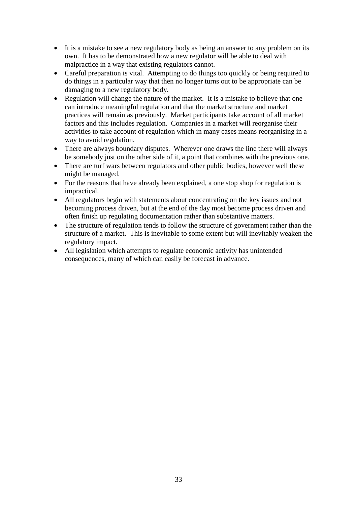- It is a mistake to see a new regulatory body as being an answer to any problem on its own. It has to be demonstrated how a new regulator will be able to deal with malpractice in a way that existing regulators cannot.
- Careful preparation is vital. Attempting to do things too quickly or being required to do things in a particular way that then no longer turns out to be appropriate can be damaging to a new regulatory body.
- Regulation will change the nature of the market. It is a mistake to believe that one can introduce meaningful regulation and that the market structure and market practices will remain as previously. Market participants take account of all market factors and this includes regulation. Companies in a market will reorganise their activities to take account of regulation which in many cases means reorganising in a way to avoid regulation.
- There are always boundary disputes. Wherever one draws the line there will always be somebody just on the other side of it, a point that combines with the previous one.
- There are turf wars between regulators and other public bodies, however well these might be managed.
- For the reasons that have already been explained, a one stop shop for regulation is impractical.
- All regulators begin with statements about concentrating on the key issues and not becoming process driven, but at the end of the day most become process driven and often finish up regulating documentation rather than substantive matters.
- The structure of regulation tends to follow the structure of government rather than the structure of a market. This is inevitable to some extent but will inevitably weaken the regulatory impact.
- All legislation which attempts to regulate economic activity has unintended consequences, many of which can easily be forecast in advance.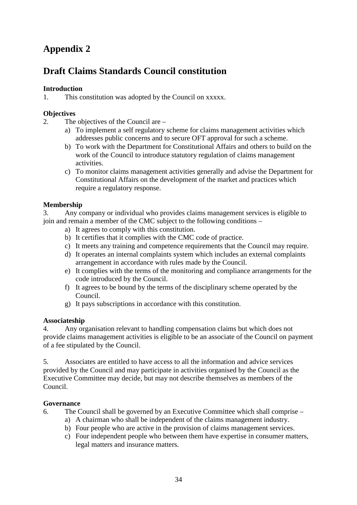# **Appendix 2**

### **Draft Claims Standards Council constitution**

#### **Introduction**

1. This constitution was adopted by the Council on xxxxx.

#### **Objectives**

- 2. The objectives of the Council are
	- a) To implement a self regulatory scheme for claims management activities which addresses public concerns and to secure OFT approval for such a scheme.
	- b) To work with the Department for Constitutional Affairs and others to build on the work of the Council to introduce statutory regulation of claims management activities.
	- c) To monitor claims management activities generally and advise the Department for Constitutional Affairs on the development of the market and practices which require a regulatory response.

#### **Membership**

3. Any company or individual who provides claims management services is eligible to join and remain a member of the CMC subject to the following conditions –

- a) It agrees to comply with this constitution.
- b) It certifies that it complies with the CMC code of practice.
- c) It meets any training and competence requirements that the Council may require.
- d) It operates an internal complaints system which includes an external complaints arrangement in accordance with rules made by the Council.
- e) It complies with the terms of the monitoring and compliance arrangements for the code introduced by the Council.
- f) It agrees to be bound by the terms of the disciplinary scheme operated by the Council.
- g) It pays subscriptions in accordance with this constitution.

#### **Associateship**

4. Any organisation relevant to handling compensation claims but which does not provide claims management activities is eligible to be an associate of the Council on payment of a fee stipulated by the Council.

5. Associates are entitled to have access to all the information and advice services provided by the Council and may participate in activities organised by the Council as the Executive Committee may decide, but may not describe themselves as members of the Council.

#### **Governance**

6. The Council shall be governed by an Executive Committee which shall comprise –

- a) A chairman who shall be independent of the claims management industry.
- b) Four people who are active in the provision of claims management services.
- c) Four independent people who between them have expertise in consumer matters, legal matters and insurance matters.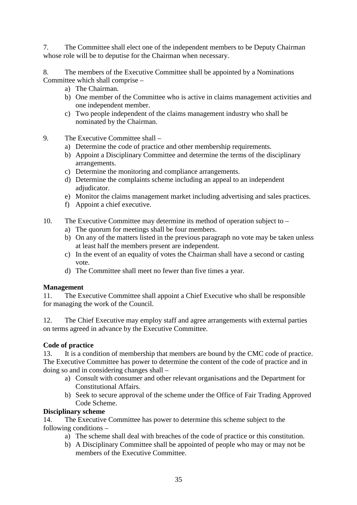7. The Committee shall elect one of the independent members to be Deputy Chairman whose role will be to deputise for the Chairman when necessary.

8. The members of the Executive Committee shall be appointed by a Nominations Committee which shall comprise –

- a) The Chairman.
- b) One member of the Committee who is active in claims management activities and one independent member.
- c) Two people independent of the claims management industry who shall be nominated by the Chairman.
- 9. The Executive Committee shall
	- a) Determine the code of practice and other membership requirements.
	- b) Appoint a Disciplinary Committee and determine the terms of the disciplinary arrangements.
	- c) Determine the monitoring and compliance arrangements.
	- d) Determine the complaints scheme including an appeal to an independent adjudicator.
	- e) Monitor the claims management market including advertising and sales practices.
	- f) Appoint a chief executive.
- 10. The Executive Committee may determine its method of operation subject to
	- a) The quorum for meetings shall be four members.
	- b) On any of the matters listed in the previous paragraph no vote may be taken unless at least half the members present are independent.
	- c) In the event of an equality of votes the Chairman shall have a second or casting vote.
	- d) The Committee shall meet no fewer than five times a year.

#### **Management**

11. The Executive Committee shall appoint a Chief Executive who shall be responsible for managing the work of the Council.

12. The Chief Executive may employ staff and agree arrangements with external parties on terms agreed in advance by the Executive Committee.

#### **Code of practice**

13. It is a condition of membership that members are bound by the CMC code of practice. The Executive Committee has power to determine the content of the code of practice and in doing so and in considering changes shall –

- a) Consult with consumer and other relevant organisations and the Department for Constitutional Affairs.
- b) Seek to secure approval of the scheme under the Office of Fair Trading Approved Code Scheme.

#### **Disciplinary scheme**

14. The Executive Committee has power to determine this scheme subject to the following conditions –

- a) The scheme shall deal with breaches of the code of practice or this constitution.
- b) A Disciplinary Committee shall be appointed of people who may or may not be members of the Executive Committee.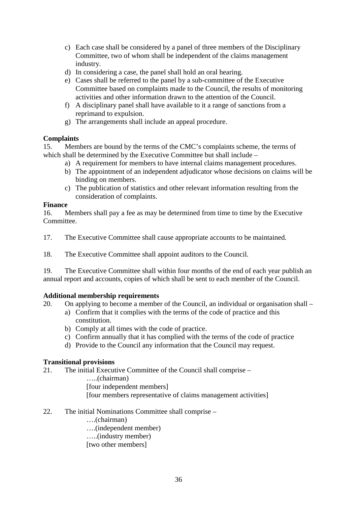- c) Each case shall be considered by a panel of three members of the Disciplinary Committee, two of whom shall be independent of the claims management industry.
- d) In considering a case, the panel shall hold an oral hearing.
- e) Cases shall be referred to the panel by a sub-committee of the Executive Committee based on complaints made to the Council, the results of monitoring activities and other information drawn to the attention of the Council.
- f) A disciplinary panel shall have available to it a range of sanctions from a reprimand to expulsion.
- g) The arrangements shall include an appeal procedure.

#### **Complaints**

15. Members are bound by the terms of the CMC's complaints scheme, the terms of which shall be determined by the Executive Committee but shall include –

- a) A requirement for members to have internal claims management procedures.
- b) The appointment of an independent adjudicator whose decisions on claims will be binding on members.
- c) The publication of statistics and other relevant information resulting from the consideration of complaints.

#### **Finance**

16. Members shall pay a fee as may be determined from time to time by the Executive Committee.

17. The Executive Committee shall cause appropriate accounts to be maintained.

18. The Executive Committee shall appoint auditors to the Council.

19. The Executive Committee shall within four months of the end of each year publish an annual report and accounts, copies of which shall be sent to each member of the Council.

#### **Additional membership requirements**

20. On applying to become a member of the Council, an individual or organisation shall –

- a) Confirm that it complies with the terms of the code of practice and this constitution.
- b) Comply at all times with the code of practice.
- c) Confirm annually that it has complied with the terms of the code of practice
- d) Provide to the Council any information that the Council may request.

#### **Transitional provisions**

21. The initial Executive Committee of the Council shall comprise –

…..(chairman) [four independent members] [four members representative of claims management activities]

- 22. The initial Nominations Committee shall comprise
	- ….(chairman)
	- ….(independent member)
	- …..(industry member)
	- [two other members]